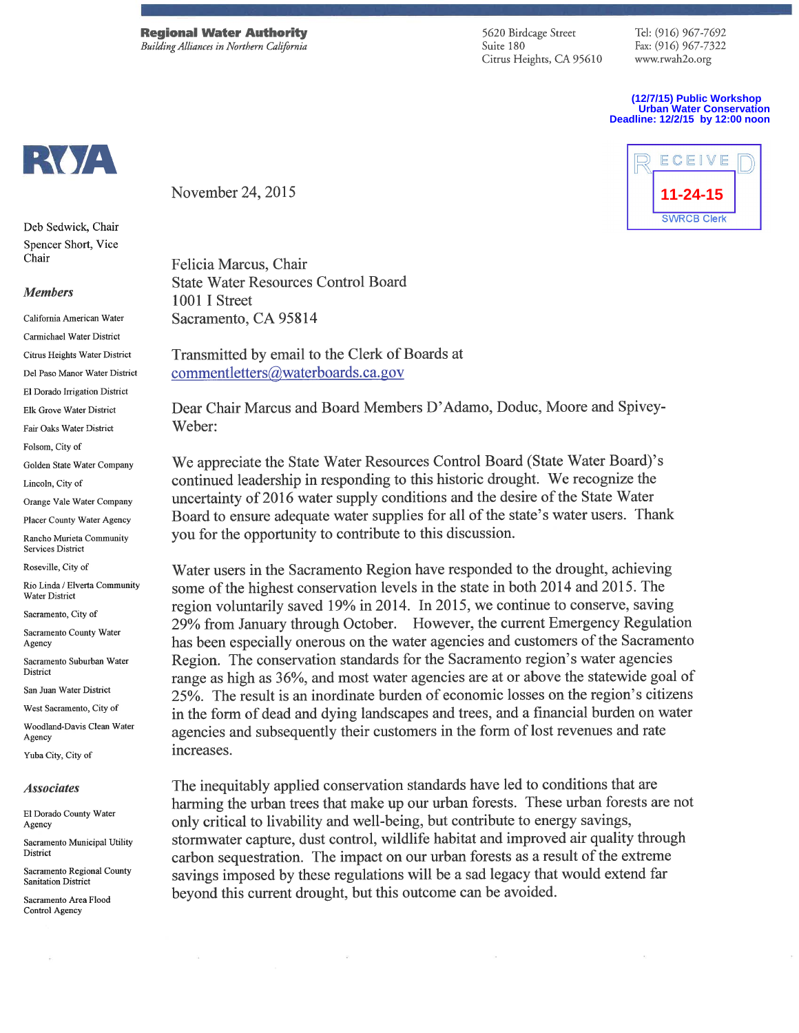**Regional Water Authority** Building Alliances in Northern California

5620 Birdcage Street Suite 180 Citrus Heights, CA 95610

Tel: (916) 967-7692 Fax: (916) 967-7322 www.rwah2o.org

(12/7/15) Public Workshop **Urban Water Conservation** Deadline: 12/2/15 by 12:00 noon



Deb Sedwick, Chair Spencer Short, Vice Chair

#### **Members**

California American Water Carmichael Water District Citrus Heights Water District Del Paso Manor Water District El Dorado Irrigation District Elk Grove Water District Fair Oaks Water District Folsom, City of Golden State Water Company Lincoln. City of Orange Vale Water Company Placer County Water Agency Rancho Murieta Community **Services District** Roseville, City of Rio Linda / Elverta Community **Water District** Sacramento City of Sacramento County Water Agency Sacramento Suburban Water District San Juan Water District West Sacramento, City of Woodland-Davis Clean Water

Agency Yuba City, City of

**Associates** 

El Dorado County Water Agency

Sacramento Municipal Utility Dietrict

Sacramento Regional County **Sanitation District** 

Sacramento Area Flood Control Agency

B

November 24, 2015

Felicia Marcus, Chair **State Water Resources Control Board** 1001 I Street Sacramento, CA 95814

Transmitted by email to the Clerk of Boards at commentletters@waterboards.ca.gov

Dear Chair Marcus and Board Members D'Adamo, Doduc, Moore and Spivey-Weber:

We appreciate the State Water Resources Control Board (State Water Board)'s continued leadership in responding to this historic drought. We recognize the uncertainty of 2016 water supply conditions and the desire of the State Water Board to ensure adequate water supplies for all of the state's water users. Thank you for the opportunity to contribute to this discussion.

Water users in the Sacramento Region have responded to the drought, achieving some of the highest conservation levels in the state in both 2014 and 2015. The region voluntarily saved 19% in 2014. In 2015, we continue to conserve, saving 29% from January through October. However, the current Emergency Regulation has been especially onerous on the water agencies and customers of the Sacramento Region. The conservation standards for the Sacramento region's water agencies range as high as 36%, and most water agencies are at or above the statewide goal of 25%. The result is an inordinate burden of economic losses on the region's citizens in the form of dead and dying landscapes and trees, and a financial burden on water agencies and subsequently their customers in the form of lost revenues and rate increases.

The inequitably applied conservation standards have led to conditions that are harming the urban trees that make up our urban forests. These urban forests are not only critical to livability and well-being, but contribute to energy savings, stormwater capture, dust control, wildlife habitat and improved air quality through carbon sequestration. The impact on our urban forests as a result of the extreme savings imposed by these regulations will be a sad legacy that would extend far beyond this current drought, but this outcome can be avoided.

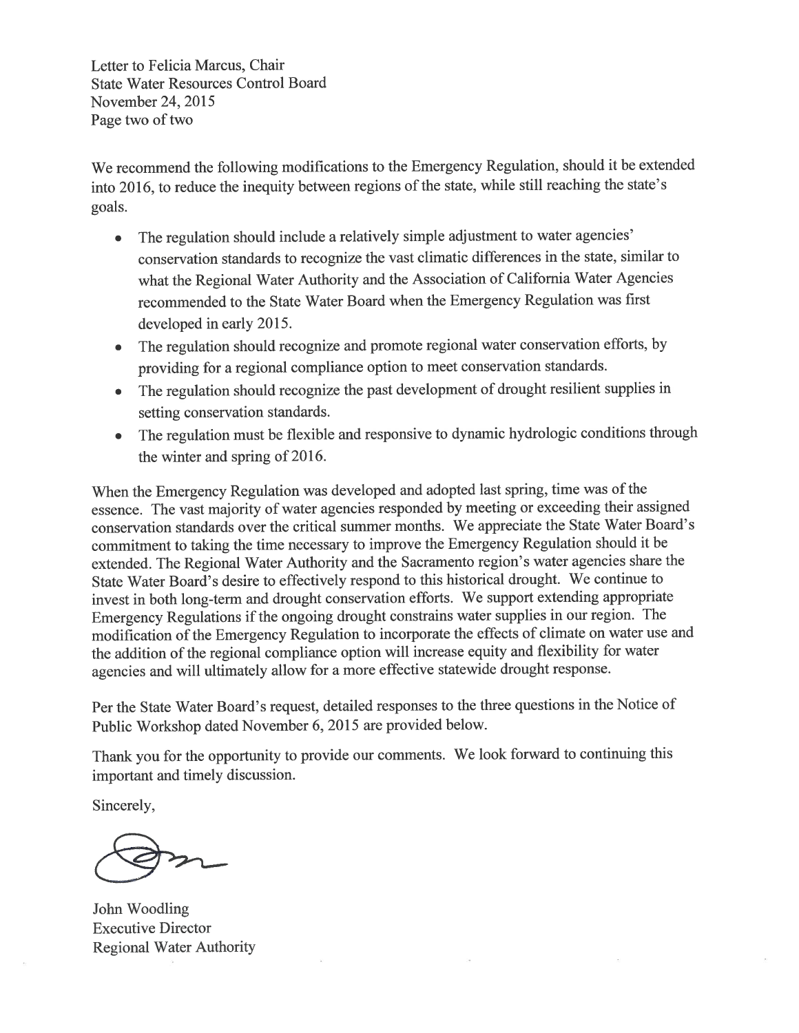Letter to Felicia Marcus, Chair **State Water Resources Control Board** November 24, 2015 Page two of two

We recommend the following modifications to the Emergency Regulation, should it be extended into 2016, to reduce the inequity between regions of the state, while still reaching the state's goals.

- The regulation should include a relatively simple adjustment to water agencies'  $\bullet$ conservation standards to recognize the vast climatic differences in the state, similar to what the Regional Water Authority and the Association of California Water Agencies recommended to the State Water Board when the Emergency Regulation was first developed in early 2015.
- The regulation should recognize and promote regional water conservation efforts, by  $\bullet$ providing for a regional compliance option to meet conservation standards.
- The regulation should recognize the past development of drought resilient supplies in setting conservation standards.
- The regulation must be flexible and responsive to dynamic hydrologic conditions through  $\bullet$ the winter and spring of 2016.

When the Emergency Regulation was developed and adopted last spring, time was of the essence. The vast majority of water agencies responded by meeting or exceeding their assigned conservation standards over the critical summer months. We appreciate the State Water Board's commitment to taking the time necessary to improve the Emergency Regulation should it be extended. The Regional Water Authority and the Sacramento region's water agencies share the State Water Board's desire to effectively respond to this historical drought. We continue to invest in both long-term and drought conservation efforts. We support extending appropriate Emergency Regulations if the ongoing drought constrains water supplies in our region. The modification of the Emergency Regulation to incorporate the effects of climate on water use and the addition of the regional compliance option will increase equity and flexibility for water agencies and will ultimately allow for a more effective statewide drought response.

Per the State Water Board's request, detailed responses to the three questions in the Notice of Public Workshop dated November 6, 2015 are provided below.

Thank you for the opportunity to provide our comments. We look forward to continuing this important and timely discussion.

Sincerely,

John Woodling **Executive Director Regional Water Authority**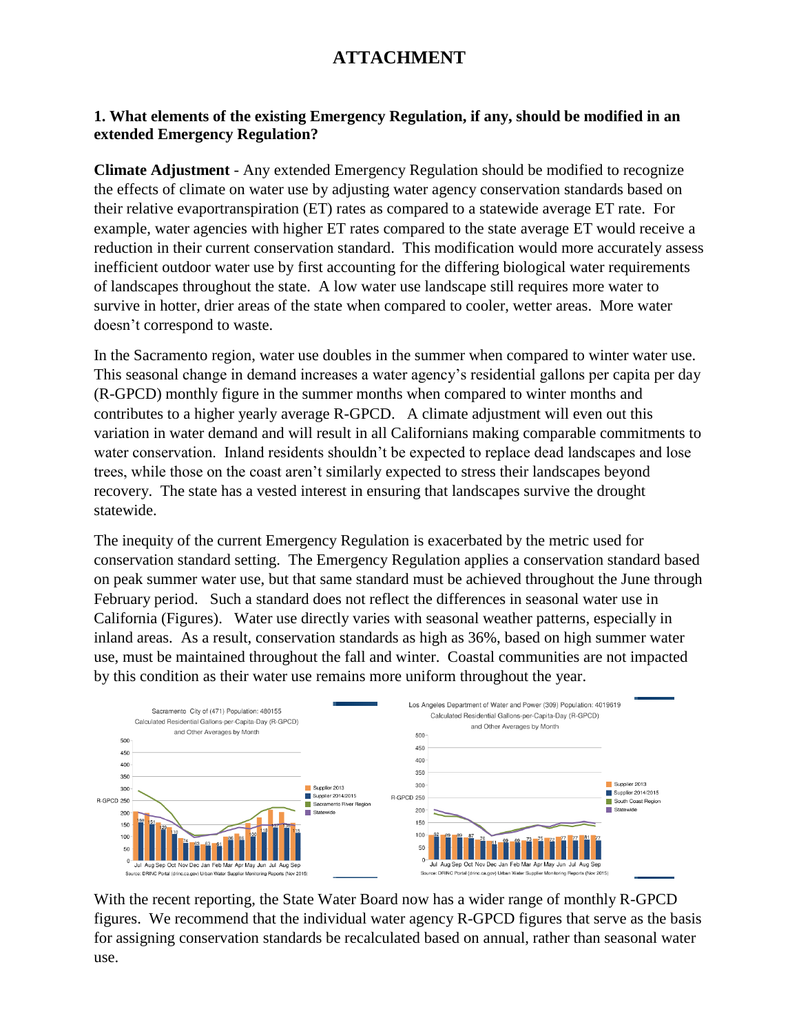# **ATTACHMENT**

### **1. What elements of the existing Emergency Regulation, if any, should be modified in an extended Emergency Regulation?**

**Climate Adjustment** - Any extended Emergency Regulation should be modified to recognize the effects of climate on water use by adjusting water agency conservation standards based on their relative evaportranspiration (ET) rates as compared to a statewide average ET rate. For example, water agencies with higher ET rates compared to the state average ET would receive a reduction in their current conservation standard. This modification would more accurately assess inefficient outdoor water use by first accounting for the differing biological water requirements of landscapes throughout the state. A low water use landscape still requires more water to survive in hotter, drier areas of the state when compared to cooler, wetter areas. More water doesn't correspond to waste.

In the Sacramento region, water use doubles in the summer when compared to winter water use. This seasonal change in demand increases a water agency's residential gallons per capita per day (R-GPCD) monthly figure in the summer months when compared to winter months and contributes to a higher yearly average R-GPCD. A climate adjustment will even out this variation in water demand and will result in all Californians making comparable commitments to water conservation. Inland residents shouldn't be expected to replace dead landscapes and lose trees, while those on the coast aren't similarly expected to stress their landscapes beyond recovery. The state has a vested interest in ensuring that landscapes survive the drought statewide.

The inequity of the current Emergency Regulation is exacerbated by the metric used for conservation standard setting. The Emergency Regulation applies a conservation standard based on peak summer water use, but that same standard must be achieved throughout the June through February period. Such a standard does not reflect the differences in seasonal water use in California (Figures). Water use directly varies with seasonal weather patterns, especially in inland areas. As a result, conservation standards as high as 36%, based on high summer water use, must be maintained throughout the fall and winter. Coastal communities are not impacted by this condition as their water use remains more uniform throughout the year.



With the recent reporting, the State Water Board now has a wider range of monthly R-GPCD figures. We recommend that the individual water agency R-GPCD figures that serve as the basis for assigning conservation standards be recalculated based on annual, rather than seasonal water use.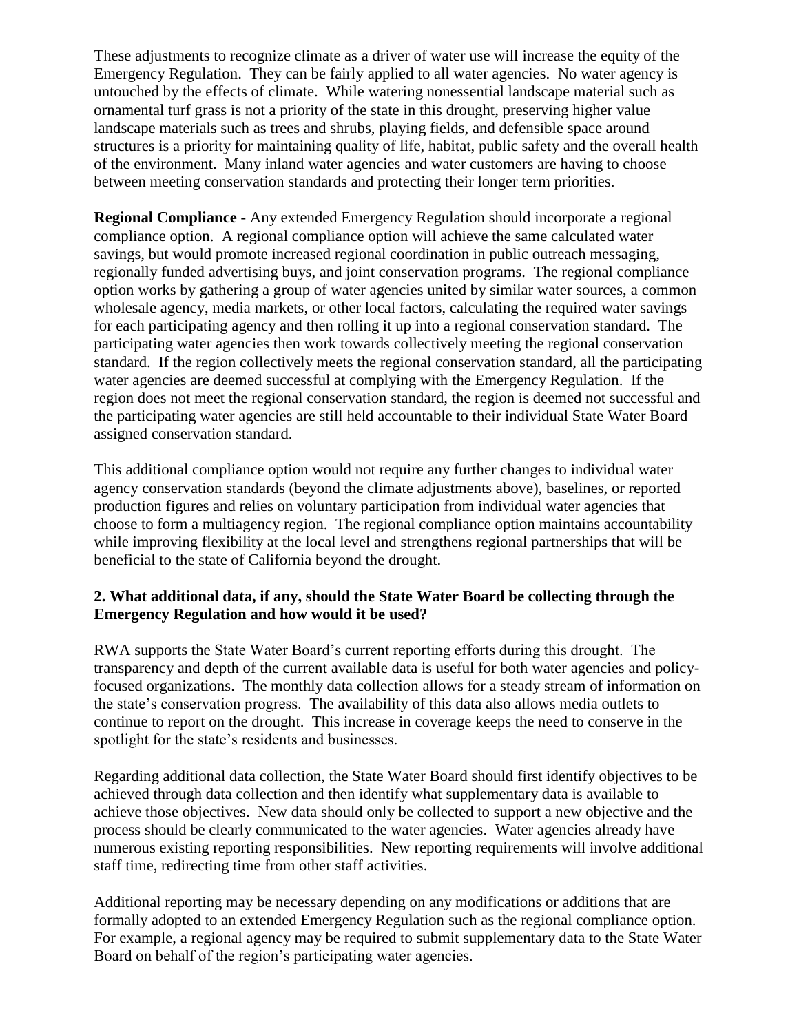These adjustments to recognize climate as a driver of water use will increase the equity of the Emergency Regulation. They can be fairly applied to all water agencies. No water agency is untouched by the effects of climate. While watering nonessential landscape material such as ornamental turf grass is not a priority of the state in this drought, preserving higher value landscape materials such as trees and shrubs, playing fields, and defensible space around structures is a priority for maintaining quality of life, habitat, public safety and the overall health of the environment. Many inland water agencies and water customers are having to choose between meeting conservation standards and protecting their longer term priorities.

**Regional Compliance** - Any extended Emergency Regulation should incorporate a regional compliance option. A regional compliance option will achieve the same calculated water savings, but would promote increased regional coordination in public outreach messaging, regionally funded advertising buys, and joint conservation programs. The regional compliance option works by gathering a group of water agencies united by similar water sources, a common wholesale agency, media markets, or other local factors, calculating the required water savings for each participating agency and then rolling it up into a regional conservation standard. The participating water agencies then work towards collectively meeting the regional conservation standard. If the region collectively meets the regional conservation standard, all the participating water agencies are deemed successful at complying with the Emergency Regulation. If the region does not meet the regional conservation standard, the region is deemed not successful and the participating water agencies are still held accountable to their individual State Water Board assigned conservation standard.

This additional compliance option would not require any further changes to individual water agency conservation standards (beyond the climate adjustments above), baselines, or reported production figures and relies on voluntary participation from individual water agencies that choose to form a multiagency region. The regional compliance option maintains accountability while improving flexibility at the local level and strengthens regional partnerships that will be beneficial to the state of California beyond the drought.

## **2. What additional data, if any, should the State Water Board be collecting through the Emergency Regulation and how would it be used?**

RWA supports the State Water Board's current reporting efforts during this drought. The transparency and depth of the current available data is useful for both water agencies and policyfocused organizations. The monthly data collection allows for a steady stream of information on the state's conservation progress. The availability of this data also allows media outlets to continue to report on the drought. This increase in coverage keeps the need to conserve in the spotlight for the state's residents and businesses.

Regarding additional data collection, the State Water Board should first identify objectives to be achieved through data collection and then identify what supplementary data is available to achieve those objectives. New data should only be collected to support a new objective and the process should be clearly communicated to the water agencies. Water agencies already have numerous existing reporting responsibilities. New reporting requirements will involve additional staff time, redirecting time from other staff activities.

Additional reporting may be necessary depending on any modifications or additions that are formally adopted to an extended Emergency Regulation such as the regional compliance option. For example, a regional agency may be required to submit supplementary data to the State Water Board on behalf of the region's participating water agencies.